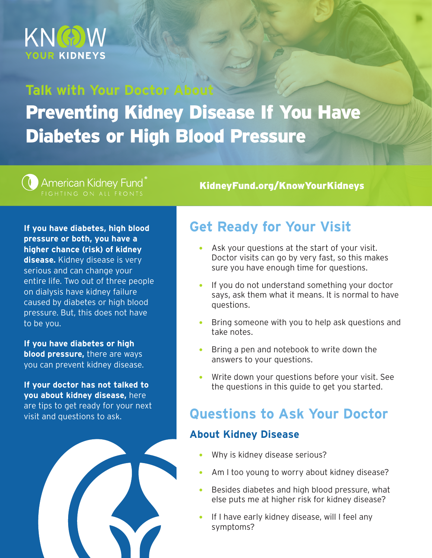

## **Talk with Your Doctor Ab** Preventing Kidney Disease If You Have Diabetes or High Blood Pressure

# American Kidney Fund

KidneyFund.org/KnowYourKidneys

**If you have diabetes, high blood pressure or both, you have a higher chance (risk) of kidney disease.** Kidney disease is very serious and can change your entire life. Two out of three people on dialysis have kidney failure caused by diabetes or high blood pressure. But, this does not have to be you.

**If you have diabetes or high blood pressure,** there are ways you can prevent kidney disease.

**If your doctor has not talked to you about kidney disease,** here are tips to get ready for your next visit and questions to ask.



### **Get Ready for Your Visit**

- Ask your questions at the start of your visit. Doctor visits can go by very fast, so this makes sure you have enough time for questions.
- If you do not understand something your doctor says, ask them what it means. It is normal to have questions.
- Bring someone with you to help ask questions and take notes.
- $\bullet$  Bring a pen and notebook to write down the answers to your questions.
- Write down your questions before your visit. See the questions in this guide to get you started.

### **Questions to Ask Your Doctor**

### **About Kidney Disease**

- Why is kidney disease serious?
- Am I too young to worry about kidney disease?
- **•** Besides diabetes and high blood pressure, what else puts me at higher risk for kidney disease?
- If I have early kidney disease, will I feel any symptoms?